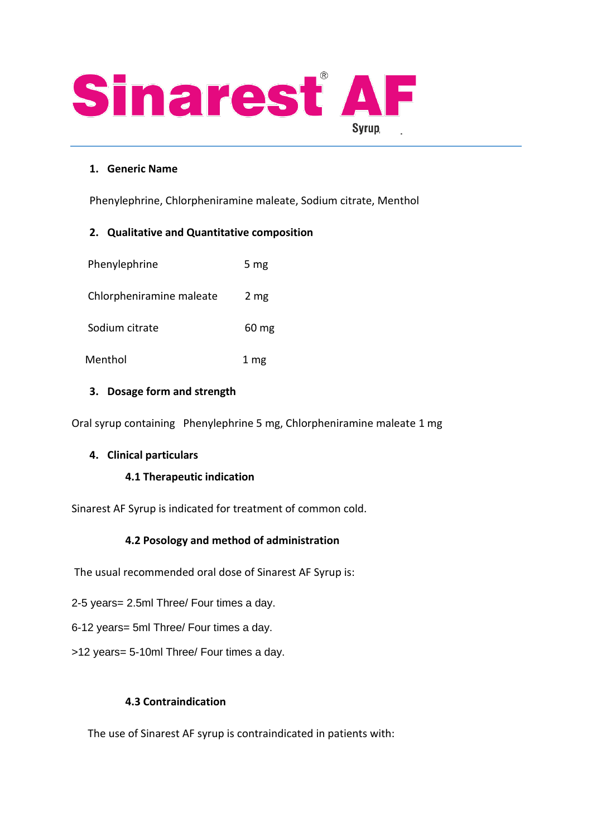

### **1. Generic Name**

Phenylephrine, Chlorpheniramine maleate, Sodium citrate, Menthol

### **2. Qualitative and Quantitative composition**

| Phenylephrine            | 5 $mg$             |
|--------------------------|--------------------|
| Chlorpheniramine maleate | 2 <sub>mg</sub>    |
| Sodium citrate           | $60 \,\mathrm{mg}$ |
| Menthol                  | 1 mg               |

### **3. Dosage form and strength**

Oral syrup containing Phenylephrine 5 mg, Chlorpheniramine maleate 1 mg

### **4. Clinical particulars**

### **4.1 Therapeutic indication**

Sinarest AF Syrup is indicated for treatment of common cold.

### **4.2 Posology and method of administration**

The usual recommended oral dose of Sinarest AF Syrup is:

- 2-5 years= 2.5ml Three/ Four times a day.
- 6-12 years= 5ml Three/ Four times a day.
- >12 years= 5-10ml Three/ Four times a day.

### **4.3 Contraindication**

The use of Sinarest AF syrup is contraindicated in patients with: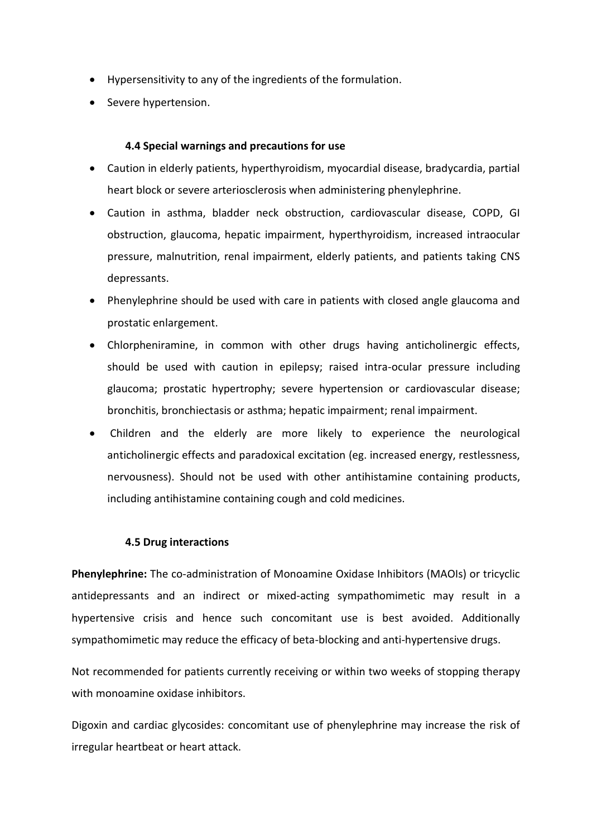- Hypersensitivity to any of the ingredients of the formulation.
- Severe hypertension.

### **4.4 Special warnings and precautions for use**

- Caution in elderly patients, hyperthyroidism, myocardial disease, bradycardia, partial heart block or severe arteriosclerosis when administering phenylephrine.
- Caution in asthma, bladder neck obstruction, cardiovascular disease, COPD, GI obstruction, glaucoma, hepatic impairment, hyperthyroidism, increased intraocular pressure, malnutrition, renal impairment, elderly patients, and patients taking CNS depressants.
- Phenylephrine should be used with care in patients with closed angle glaucoma and prostatic enlargement.
- Chlorpheniramine, in common with other drugs having anticholinergic effects, should be used with caution in epilepsy; raised intra-ocular pressure including glaucoma; prostatic hypertrophy; severe hypertension or cardiovascular disease; bronchitis, bronchiectasis or asthma; hepatic impairment; renal impairment.
- Children and the elderly are more likely to experience the neurological anticholinergic effects and paradoxical excitation (eg. increased energy, restlessness, nervousness). Should not be used with other antihistamine containing products, including antihistamine containing cough and cold medicines.

### **4.5 Drug interactions**

**Phenylephrine:** The co-administration of Monoamine Oxidase Inhibitors (MAOIs) or tricyclic antidepressants and an indirect or mixed-acting sympathomimetic may result in a hypertensive crisis and hence such concomitant use is best avoided. Additionally sympathomimetic may reduce the efficacy of beta-blocking and anti-hypertensive drugs.

Not recommended for patients currently receiving or within two weeks of stopping therapy with monoamine oxidase inhibitors

Digoxin and cardiac glycosides: concomitant use of phenylephrine may increase the risk of irregular heartbeat or heart attack.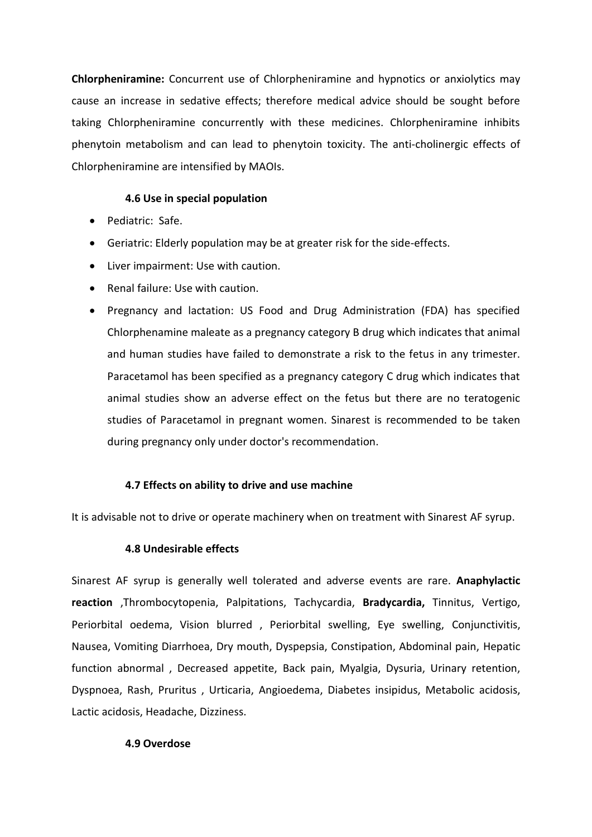**Chlorpheniramine:** Concurrent use of Chlorpheniramine and hypnotics or anxiolytics may cause an increase in sedative effects; therefore medical advice should be sought before taking Chlorpheniramine concurrently with these medicines. Chlorpheniramine inhibits phenytoin metabolism and can lead to phenytoin toxicity. The anti-cholinergic effects of Chlorpheniramine are intensified by MAOIs.

### **4.6 Use in special population**

- Pediatric: Safe.
- Geriatric: Elderly population may be at greater risk for the side-effects.
- Liver impairment: Use with caution.
- Renal failure: Use with caution.
- Pregnancy and lactation: US Food and Drug Administration (FDA) has specified Chlorphenamine maleate as a pregnancy category B drug which indicates that animal and human studies have failed to demonstrate a risk to the fetus in any trimester. Paracetamol has been specified as a pregnancy category C drug which indicates that animal studies show an adverse effect on the fetus but there are no teratogenic studies of Paracetamol in pregnant women. Sinarest is recommended to be taken during pregnancy only under doctor's recommendation.

### **4.7 Effects on ability to drive and use machine**

It is advisable not to drive or operate machinery when on treatment with Sinarest AF syrup.

### **4.8 Undesirable effects**

Sinarest AF syrup is generally well tolerated and adverse events are rare. **Anaphylactic reaction** ,Thrombocytopenia, Palpitations, Tachycardia, **Bradycardia,** Tinnitus, Vertigo, Periorbital oedema, Vision blurred , Periorbital swelling, Eye swelling, Conjunctivitis, Nausea, Vomiting Diarrhoea, Dry mouth, Dyspepsia, Constipation, Abdominal pain, Hepatic function abnormal , Decreased appetite, Back pain, Myalgia, Dysuria, Urinary retention, Dyspnoea, Rash, Pruritus , Urticaria, Angioedema, Diabetes insipidus, Metabolic acidosis, Lactic acidosis, Headache, Dizziness.

### **4.9 Overdose**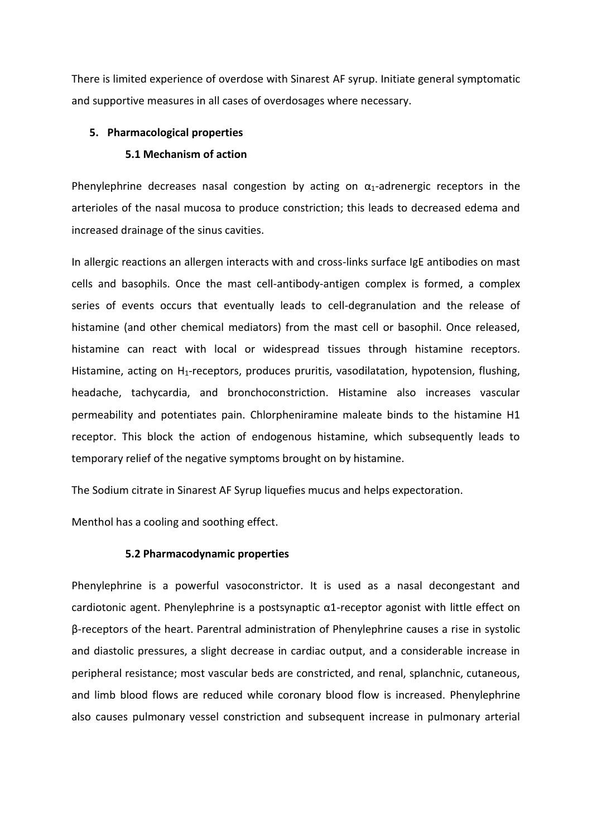There is limited experience of overdose with Sinarest AF syrup. Initiate general symptomatic and supportive measures in all cases of overdosages where necessary.

#### **5. Pharmacological properties**

#### **5.1 Mechanism of action**

Phenylephrine decreases nasal congestion by acting on  $\alpha_1$ -adrenergic receptors in the arterioles of the nasal mucosa to produce constriction; this leads to decreased edema and increased drainage of the sinus cavities.

In allergic reactions an allergen interacts with and cross-links surface IgE antibodies on mast cells and basophils. Once the mast cell-antibody-antigen complex is formed, a complex series of events occurs that eventually leads to cell-degranulation and the release of histamine (and other chemical mediators) from the mast cell or basophil. Once released, histamine can react with local or widespread tissues through histamine receptors. Histamine, acting on H<sub>1</sub>-receptors, produces pruritis, vasodilatation, hypotension, flushing, headache, tachycardia, and bronchoconstriction. Histamine also increases vascular permeability and potentiates pain. Chlorpheniramine maleate binds to the histamine H1 receptor. This block the action of endogenous histamine, which subsequently leads to temporary relief of the negative symptoms brought on by histamine.

The Sodium citrate in Sinarest AF Syrup liquefies mucus and helps expectoration.

Menthol has a cooling and soothing effect.

### **5.2 Pharmacodynamic properties**

Phenylephrine is a powerful vasoconstrictor. It is used as a nasal decongestant and cardiotonic agent. Phenylephrine is a postsynaptic  $\alpha$ 1-receptor agonist with little effect on β-receptors of the heart. Parentral administration of Phenylephrine causes a rise in systolic and diastolic pressures, a slight decrease in cardiac output, and a considerable increase in peripheral resistance; most vascular beds are constricted, and renal, splanchnic, cutaneous, and limb blood flows are reduced while coronary blood flow is increased. Phenylephrine also causes pulmonary vessel constriction and subsequent increase in pulmonary arterial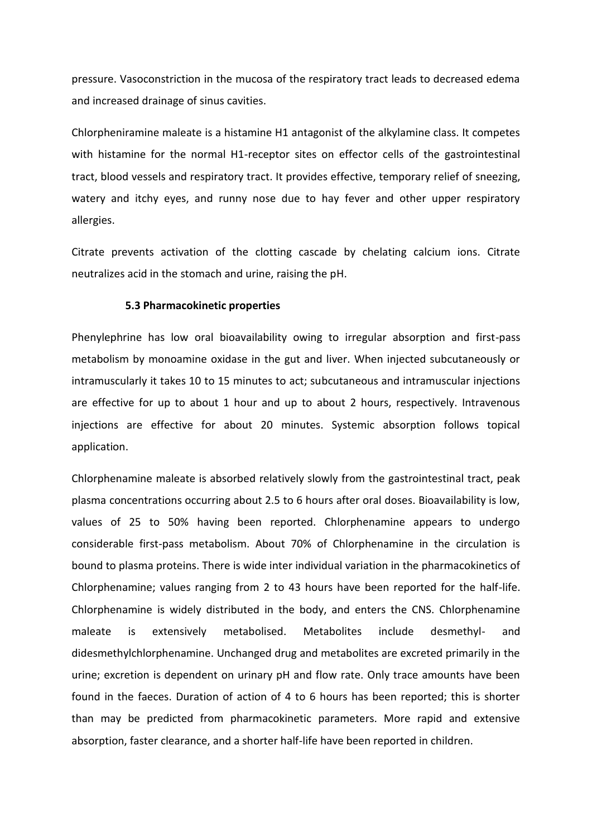pressure. Vasoconstriction in the mucosa of the respiratory tract leads to decreased edema and increased drainage of sinus cavities.

Chlorpheniramine maleate is a histamine H1 antagonist of the alkylamine class. It competes with histamine for the normal H1-receptor sites on effector cells of the gastrointestinal tract, blood vessels and respiratory tract. It provides effective, temporary relief of sneezing, watery and itchy eyes, and runny nose due to hay fever and other upper respiratory allergies.

Citrate prevents activation of the clotting cascade by chelating calcium ions. Citrate neutralizes acid in the stomach and urine, raising the pH.

#### **5.3 Pharmacokinetic properties**

Phenylephrine has low oral bioavailability owing to irregular absorption and first-pass metabolism by monoamine oxidase in the gut and liver. When injected subcutaneously or intramuscularly it takes 10 to 15 minutes to act; subcutaneous and intramuscular injections are effective for up to about 1 hour and up to about 2 hours, respectively. Intravenous injections are effective for about 20 minutes. Systemic absorption follows topical application.

Chlorphenamine maleate is absorbed relatively slowly from the gastrointestinal tract, peak plasma concentrations occurring about 2.5 to 6 hours after oral doses. Bioavailability is low, values of 25 to 50% having been reported. Chlorphenamine appears to undergo considerable first-pass metabolism. About 70% of Chlorphenamine in the circulation is bound to plasma proteins. There is wide inter individual variation in the pharmacokinetics of Chlorphenamine; values ranging from 2 to 43 hours have been reported for the half-life. Chlorphenamine is widely distributed in the body, and enters the CNS. Chlorphenamine maleate is extensively metabolised. Metabolites include desmethyl- and didesmethylchlorphenamine. Unchanged drug and metabolites are excreted primarily in the urine; excretion is dependent on urinary pH and flow rate. Only trace amounts have been found in the faeces. Duration of action of 4 to 6 hours has been reported; this is shorter than may be predicted from pharmacokinetic parameters. More rapid and extensive absorption, faster clearance, and a shorter half-life have been reported in children.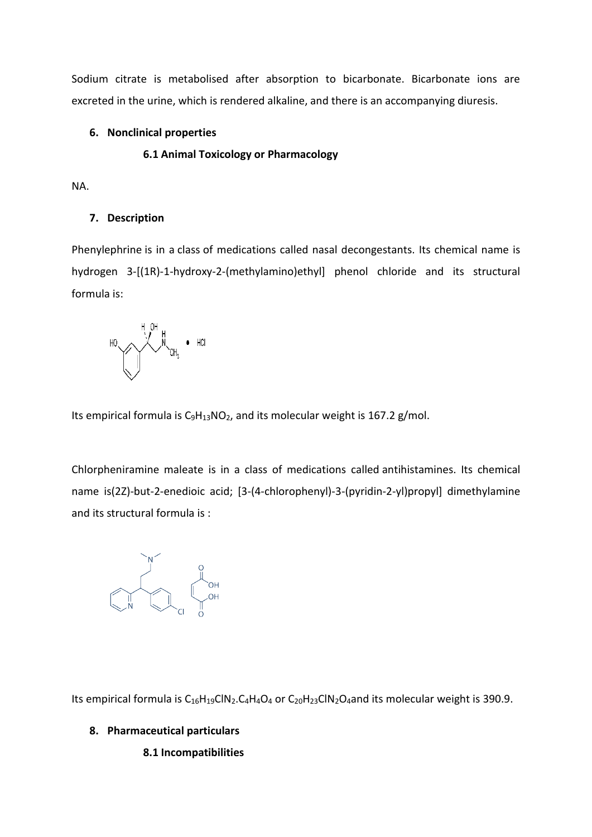Sodium citrate is metabolised after absorption to bicarbonate. Bicarbonate ions are excreted in the urine, which is rendered alkaline, and there is an accompanying diuresis.

### **6. Nonclinical properties**

## **6.1 Animal Toxicology or Pharmacology**

NA.

# **7. Description**

Phenylephrine is in a class of medications called nasal decongestants. Its chemical name is hydrogen 3-[(1R)-1-hydroxy-2-(methylamino)ethyl] phenol chloride and its structural formula is:

$$
\text{H}_0 \xrightarrow{\text{H}_1 \text{OH}} \text{H}_2 \text{CH}_3 \bullet \text{H}_4
$$

Its empirical formula is  $C_9H_{13}NO_2$  $C_9H_{13}NO_2$  $C_9H_{13}NO_2$ , and its molecular weight is 167.2 g/mol.

Chlorpheniramine maleate is in a class of medications called antihistamines. Its chemical name is(2Z)-but-2-enedioic acid; [3-(4-chlorophenyl)-3-(pyridin-2-yl)propyl] dimethylamine and its structural formula is :



Its empirical formula is C<sub>16</sub>H<sub>19</sub>ClN<sub>2</sub>.C<sub>4</sub>H<sub>4</sub>O<sub>4</sub> or C<sub>20</sub>H<sub>23</sub>ClN<sub>2</sub>O<sub>4</sub>and its molecular weight is 390.9.

# **8. Pharmaceutical particulars**

# **8.1 Incompatibilities**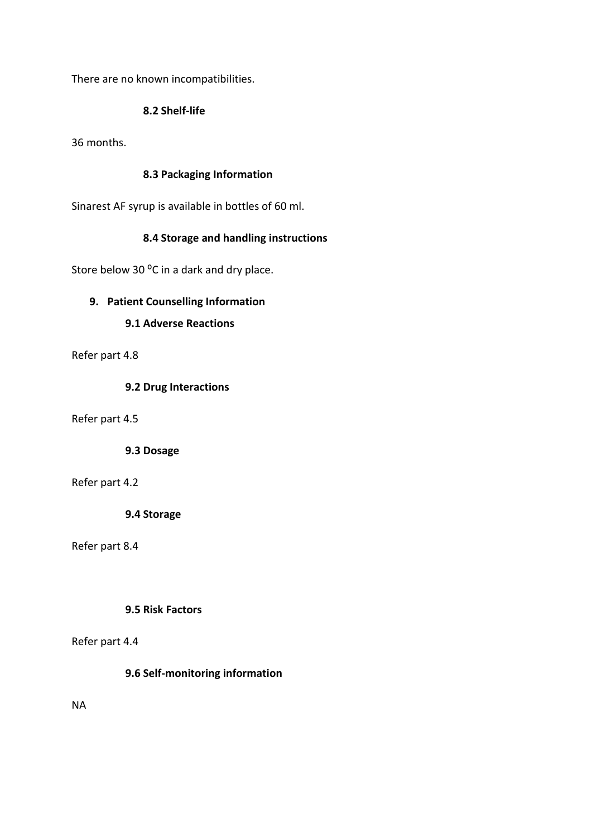There are no known incompatibilities.

### **8.2 Shelf-life**

36 months.

### **8.3 Packaging Information**

Sinarest AF syrup is available in bottles of 60 ml.

# **8.4 Storage and handling instructions**

Store below 30 °C in a dark and dry place.

### **9. Patient Counselling Information**

### **9.1 Adverse Reactions**

Refer part 4.8

### **9.2 Drug Interactions**

Refer part 4.5

**9.3 Dosage**

Refer part 4.2

**9.4 Storage**

Refer part 8.4

### **9.5 Risk Factors**

Refer part 4.4

**9.6 Self-monitoring information**

NA